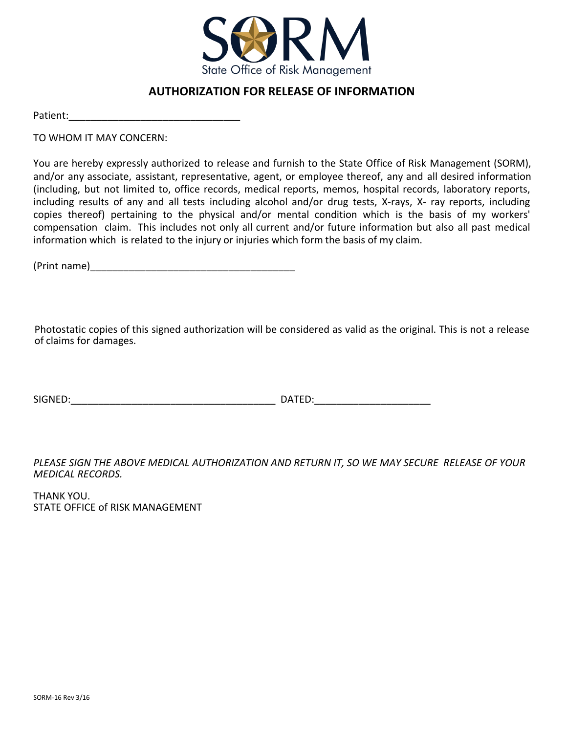

# **AUTHORIZATION FOR RELEASE OF INFORMATION**

Patient:\_\_\_\_\_\_\_\_\_\_\_\_\_\_\_\_\_\_\_\_\_\_\_\_\_\_\_\_\_\_\_

TO WHOM IT MAY CONCERN:

 (including, but not limited to, office records, medical reports, memos, hospital records, laboratory reports, copies thereof) pertaining to the physical and/or mental condition which is the basis of my workers' compensation claim. This includes not only all current and/or future information but also all past medical n which is related to the injury or injuries which form the hasis of my claim. of to related to the highly of highles which form the same of high manni-You are hereby expressly authorized to release and furnish to the State Office of Risk Management (SORM), and/or any associate, assistant, representative, agent, or employee thereof, any and all desired information including results of any and all tests including alcohol and/or drug tests, X-rays, X- ray reports, including information which is related to the injury or injuries which form the basis of my claim.

(Print name) \_\_\_\_\_\_\_\_\_\_\_\_\_\_\_\_\_\_\_\_\_\_\_\_\_\_\_\_\_\_\_\_\_\_\_\_\_

Photostatic copies of this signed authorization will be considered as valid as the original. This is not a release<br>of claims for damages of claims for damages.

SIGNED:\_\_\_\_\_\_\_\_\_\_\_\_\_\_\_\_\_\_\_\_\_\_\_\_\_\_\_\_\_\_\_\_\_\_\_\_\_ DATED:\_\_\_\_\_\_\_\_\_\_\_\_\_\_\_\_\_\_\_\_\_

RECORDS. *PLEASE SIGN THE ABOVE MEDICAL AUTHORIZATION AND RETURN IT, SO WE MAY SECURE RELEASE OF YOUR MEDICAL RECORDS.* 

 $\mathbf{r}$ er en de THANK YOU. STATE OFFICE of RISK MANAGEMENT